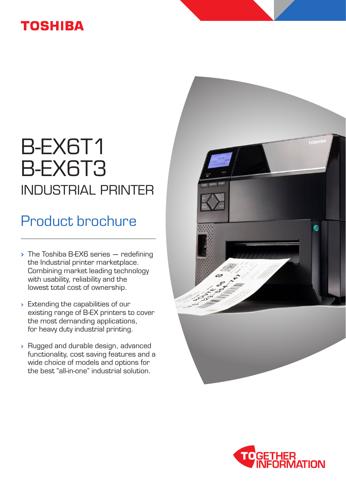### **TOSHIBA**

# B-EX6T1 B-EX6T3 INDUSTRIAL PRINTER

## Product brochure

- $\rightarrow$  The Toshiba B-EX6 series  $-$  redefining the Industrial printer marketplace. Combining market leading technology with usability, reliability and the lowest total cost of ownership.
- Extending the capabilities of our existing range of B-EX printers to cover the most demanding applications, for heavy duty industrial printing.
- Rugged and durable design, advanced functionality, cost saving features and a wide choice of models and options for the best "all-in-one" industrial solution.



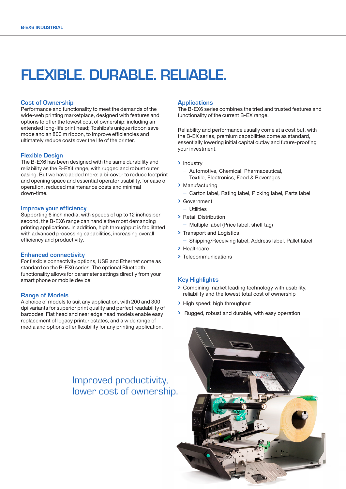### FLEXIBLE. DURABLE. RELIABLE.

### Cost of Ownership

Performance and functionality to meet the demands of the wide-web printing marketplace, designed with features and options to offer the lowest cost of ownership; including an extended long-life print head; Toshiba's unique ribbon save mode and an 800 m ribbon, to improve efficiencies and ultimately reduce costs over the life of the printer.

#### Flexible Design

The B-EX6 has been designed with the same durability and reliability as the B-EX4 range, with rugged and robust outer casing. But we have added more: a bi-cover to reduce footprint and opening space and essential operator usability, for ease of operation, reduced maintenance costs and minimal down-time.

#### Improve your efficiency

Supporting 6 inch media, with speeds of up to 12 inches per second, the B-EX6 range can handle the most demanding printing applications. In addition, high throughput is facilitated with advanced processing capabilities, increasing overall efficiency and productivity.

### Enhanced connectivity

For flexible connectivity options, USB and Ethernet come as standard on the B-EX6 series. The optional Bluetooth functionality allows for parameter settings directly from your smart phone or mobile device.

### Range of Models

A choice of models to suit any application, with 200 and 300 dpi variants for superior print quality and perfect readability of barcodes. Flat head and near edge head models enable easy replacement of legacy printer estates, and a wide range of media and options offer flexibility for any printing application.

### Improved productivity, lower cost of ownership.

#### **Applications**

The B-EX6 series combines the tried and trusted features and functionality of the current B-EX range.

Reliability and performance usually come at a cost but, with the B-EX series, premium capabilities come as standard, essentially lowering initial capital outlay and future-proofing your investment.

### > Industry

- Automotive, Chemical, Pharmaceutical, Textile, Electronics, Food & Beverages
- > Manufacturing
- Carton label, Rating label, Picking label, Parts label
- Government
	- Utilities
- > Retail Distribution
	- Multiple label (Price label, shelf tag)
- > Transport and Logistics
	- Shipping/Receiving label, Address label, Pallet label
- > Healthcare
- > Telecommunications

### Key Highlights

- Combining market leading technology with usability, reliability and the lowest total cost of ownership
- > High speed: high throughput
- Rugged, robust and durable, with easy operation

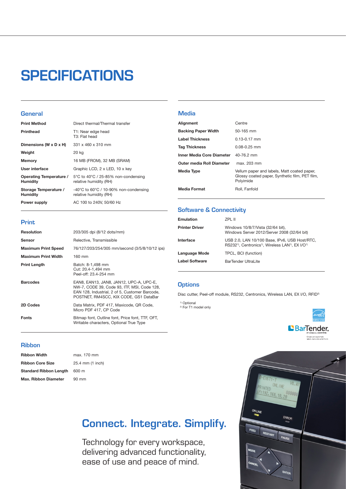## **SPECIFICATIONS**

### **General**

| <b>Print Method</b>                        | Direct thermal/Thermal transfer                                 |
|--------------------------------------------|-----------------------------------------------------------------|
| <b>Printhead</b>                           | T1: Near edge head<br>T3: Flat head                             |
| Dimensions (W x D x H)                     | $331 \times 460 \times 310$ mm                                  |
| Weight                                     | 20 kg                                                           |
| Memory                                     | 16 MB (FROM), 32 MB (SRAM)                                      |
| User interface                             | Graphic LCD, 2 x LED, 10 x key                                  |
| Operating Temperature /<br><b>Humidity</b> | 5°C to 40°C / 25-85% non-condensing<br>relative humidity (RH)   |
| Storage Temperature /<br><b>Humidity</b>   | -40°C to 60°C / 10-90% non-condensing<br>relative humidity (RH) |
| Power supply                               | AC 100 to 240V, 50/60 Hz                                        |

### Print

| <b>Resolution</b>          | 203/305 dpi (8/12 dots/mm)                                                                                                                                                         |
|----------------------------|------------------------------------------------------------------------------------------------------------------------------------------------------------------------------------|
| Sensor                     | Relective, Transmissible                                                                                                                                                           |
| <b>Maximum Print Speed</b> | 76/127/203/254/305 mm/second (3/5/8/10/12 ips)                                                                                                                                     |
| <b>Maximum Print Width</b> | 160 mm                                                                                                                                                                             |
| <b>Print Length</b>        | Batch: 8-1,498 mm<br>Cut: 20.4-1,494 mm<br>Peel-off: 23.4-254 mm                                                                                                                   |
| <b>Barcodes</b>            | EAN8, EAN13, JAN8, JAN12, UPC-A, UPC-E,<br>NW-7, CODE 39, Code 93, ITF, MSI, Code 128,<br>EAN 128, Industrial, 2 of 5, Customer Barcode,<br>POSTNET, RM4SCC, KIX CODE, GS1 DataBar |
| 2D Codes                   | Data Matrix, PDF 417, Maxicode, QR Code,<br>Micro PDF 417, CP Code                                                                                                                 |
| Fonts                      | Bitmap font, Outline font, Price font, TTF, OFT,<br>Writable characters, Optional True Type                                                                                        |

### **Media**

| Alignment                  | Centre                                                                                                     |
|----------------------------|------------------------------------------------------------------------------------------------------------|
| <b>Backing Paper Width</b> | 50-165 mm                                                                                                  |
| <b>Label Thickness</b>     | $0.13 - 0.17$ mm                                                                                           |
| <b>Tag Thickness</b>       | $0.08 - 0.25$ mm                                                                                           |
| Inner Media Core Diameter  | 40-76.2 mm                                                                                                 |
| Outer media Roll Diameter  | max. 203 mm                                                                                                |
| <b>Media Type</b>          | Vellum paper and labels, Matt coated paper,<br>Glossy coated paper, Synthetic film, PET film,<br>Polyimide |
| <b>Media Format</b>        | Roll, Fanfold                                                                                              |

### Software & Connectivity

| <b>Emulation</b>      | ZPL II                                                                                                                                              |
|-----------------------|-----------------------------------------------------------------------------------------------------------------------------------------------------|
| <b>Printer Driver</b> | Windows 10/8/7/Vista (32/64 bit),<br>Windows Server 2012/Server 2008 (32/64 bit)                                                                    |
| Interface             | USB 2.0, LAN 10/100 Base, IPv6, USB Host/RTC,<br>RS232 <sup>1)</sup> , Centronics <sup>1)</sup> , Wireless LAN <sup>1)</sup> , EX I/O <sup>1)</sup> |
| Language Mode         | TPCL, BCI (function)                                                                                                                                |
| <b>Label Software</b> | BarTender UltraLite                                                                                                                                 |
|                       |                                                                                                                                                     |

### **Options**

Disc cutter, Peel-off module, RS232, Centronics, Wireless LAN, EX I/O, RFID2)

<sup>1)</sup> Optional<br><sup>2)</sup> For T1 model only



### Ribbon

| <b>Ribbon Width</b>           | n |
|-------------------------------|---|
| <b>Ribbon Core Size</b>       | 2 |
| <b>Standard Ribbon Length</b> | 6 |
| <b>Max. Ribbon Diameter</b>   | g |

### nax. 170 mm 25.4 mm (1 inch)  $500 \text{ m}$ a<br>Pomm

### Connect. Integrate. Simplify.

Technology for every workspace, delivering advanced functionality, ease of use and peace of mind.